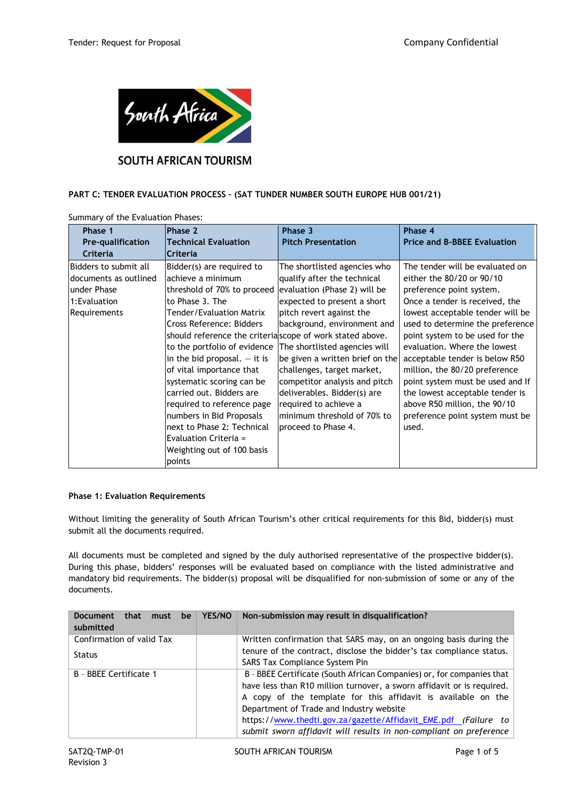

# **SOUTH AFRICAN TOURISM**

## **PART C: TENDER EVALUATION PROCESS – (SAT TUNDER NUMBER SOUTH EUROPE HUB 001/21)**

| Phase 1                                                                                                | Phase 2                                                                                                                                                                                                                                                                                                                                            | Phase 3                                                                                                                                                                                                                                                                                                                  | Phase 4                                                                                                                                                                                                                                                                                                                                                                      |
|--------------------------------------------------------------------------------------------------------|----------------------------------------------------------------------------------------------------------------------------------------------------------------------------------------------------------------------------------------------------------------------------------------------------------------------------------------------------|--------------------------------------------------------------------------------------------------------------------------------------------------------------------------------------------------------------------------------------------------------------------------------------------------------------------------|------------------------------------------------------------------------------------------------------------------------------------------------------------------------------------------------------------------------------------------------------------------------------------------------------------------------------------------------------------------------------|
| <b>Pre-qualification</b>                                                                               | <b>Technical Evaluation</b>                                                                                                                                                                                                                                                                                                                        | <b>Pitch Presentation</b>                                                                                                                                                                                                                                                                                                | <b>Price and B-BBEE Evaluation</b>                                                                                                                                                                                                                                                                                                                                           |
| Criteria                                                                                               | Criteria                                                                                                                                                                                                                                                                                                                                           |                                                                                                                                                                                                                                                                                                                          |                                                                                                                                                                                                                                                                                                                                                                              |
| Bidders to submit all<br>Idocuments as outlined<br>lunder Phase<br>1:Evaluation<br><b>Requirements</b> | Bidder(s) are required to<br>lachieve a minimum<br>threshold of 70% to proceed<br>to Phase 3. The<br>Tender/Evaluation Matrix<br>Cross Reference: Bidders<br>should reference the criterial scope of work stated above.<br>to the portfolio of evidence<br>in the bid proposal. $-$ it is<br>of vital importance that<br>systematic scoring can be | The shortlisted agencies who<br>qualify after the technical<br>evaluation (Phase 2) will be<br>expected to present a short<br>pitch revert against the<br>background, environment and<br>The shortlisted agencies will<br>be given a written brief on the<br>challenges, target market,<br>competitor analysis and pitch | The tender will be evaluated on<br>either the 80/20 or 90/10<br>preference point system.<br>Once a tender is received, the<br>lowest acceptable tender will be<br>used to determine the preference<br>point system to be used for the<br>evaluation. Where the lowest<br>acceptable tender is below R50<br>million, the 80/20 preference<br>point system must be used and If |
|                                                                                                        | carried out. Bidders are<br>required to reference page<br>numbers in Bid Proposals<br>next to Phase 2: Technical<br>Evaluation Criteria =<br>Weighting out of 100 basis<br>points                                                                                                                                                                  | deliverables. Bidder(s) are<br>required to achieve a<br>minimum threshold of 70% to<br>proceed to Phase 4.                                                                                                                                                                                                               | the lowest acceptable tender is<br>above R50 million, the 90/10<br>preference point system must be<br>used.                                                                                                                                                                                                                                                                  |

Summary of the Evaluation Phases:

## **Phase 1: Evaluation Requirements**

Without limiting the generality of South African Tourism's other critical requirements for this Bid, bidder(s) must submit all the documents required.

All documents must be completed and signed by the duly authorised representative of the prospective bidder(s). During this phase, bidders' responses will be evaluated based on compliance with the listed administrative and mandatory bid requirements. The bidder(s) proposal will be disqualified for non-submission of some or any of the documents.

| <b>Document</b><br>that<br>must<br>be<br>submitted | YES/NO | Non-submission may result in disqualification?                         |  |
|----------------------------------------------------|--------|------------------------------------------------------------------------|--|
| Confirmation of valid Tax                          |        | Written confirmation that SARS may, on an ongoing basis during the     |  |
| <b>Status</b>                                      |        | tenure of the contract, disclose the bidder's tax compliance status.   |  |
|                                                    |        | <b>SARS Tax Compliance System Pin</b>                                  |  |
| B - BBEE Certificate 1                             |        | B - BBEE Certificate (South African Companies) or, for companies that  |  |
|                                                    |        | have less than R10 million turnover, a sworn affidavit or is required. |  |
|                                                    |        | A copy of the template for this affidavit is available on the          |  |
|                                                    |        | Department of Trade and Industry website                               |  |
|                                                    |        | https://www.thedti.gov.za/gazette/Affidavit_EME.pdf (Failure to        |  |
|                                                    |        | submit sworn affidavit will results in non-compliant on preference     |  |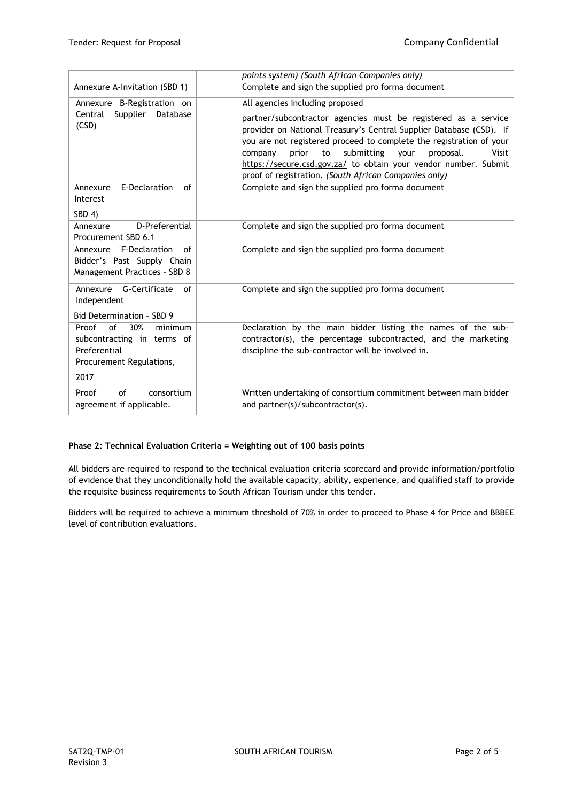|                                                                                                                 | points system) (South African Companies only)                                                                                                                                                                                                                                                                                                                                                                                                     |
|-----------------------------------------------------------------------------------------------------------------|---------------------------------------------------------------------------------------------------------------------------------------------------------------------------------------------------------------------------------------------------------------------------------------------------------------------------------------------------------------------------------------------------------------------------------------------------|
| Annexure A-Invitation (SBD 1)                                                                                   | Complete and sign the supplied pro forma document                                                                                                                                                                                                                                                                                                                                                                                                 |
| Annexure B-Registration on<br>Central<br>Supplier<br>Database<br>(CSD)                                          | All agencies including proposed<br>partner/subcontractor agencies must be registered as a service<br>provider on National Treasury's Central Supplier Database (CSD). If<br>you are not registered proceed to complete the registration of your<br>submitting<br>prior<br>proposal.<br>Visit<br>company<br>to<br>vour<br>https://secure.csd.gov.za/ to obtain your vendor number. Submit<br>proof of registration. (South African Companies only) |
| E-Declaration<br>of<br>Annexure<br>Interest -<br>SBD 4)                                                         | Complete and sign the supplied pro forma document                                                                                                                                                                                                                                                                                                                                                                                                 |
| D-Preferential<br>Annexure<br>Procurement SBD 6.1                                                               | Complete and sign the supplied pro forma document                                                                                                                                                                                                                                                                                                                                                                                                 |
| Annexure F-Declaration<br>of<br>Bidder's Past Supply Chain<br>Management Practices - SBD 8                      | Complete and sign the supplied pro forma document                                                                                                                                                                                                                                                                                                                                                                                                 |
| Annexure G-Certificate<br>of<br>Independent<br>Bid Determination - SBD 9                                        | Complete and sign the supplied pro forma document                                                                                                                                                                                                                                                                                                                                                                                                 |
| of<br>30%<br>Proof<br>minimum<br>subcontracting in terms of<br>Preferential<br>Procurement Regulations,<br>2017 | Declaration by the main bidder listing the names of the sub-<br>contractor(s), the percentage subcontracted, and the marketing<br>discipline the sub-contractor will be involved in.                                                                                                                                                                                                                                                              |
| Proof<br>of<br>consortium<br>agreement if applicable.                                                           | Written undertaking of consortium commitment between main bidder<br>and partner(s)/subcontractor(s).                                                                                                                                                                                                                                                                                                                                              |

#### **Phase 2: Technical Evaluation Criteria = Weighting out of 100 basis points**

All bidders are required to respond to the technical evaluation criteria scorecard and provide information/portfolio of evidence that they unconditionally hold the available capacity, ability, experience, and qualified staff to provide the requisite business requirements to South African Tourism under this tender.

Bidders will be required to achieve a minimum threshold of 70% in order to proceed to Phase 4 for Price and BBBEE level of contribution evaluations.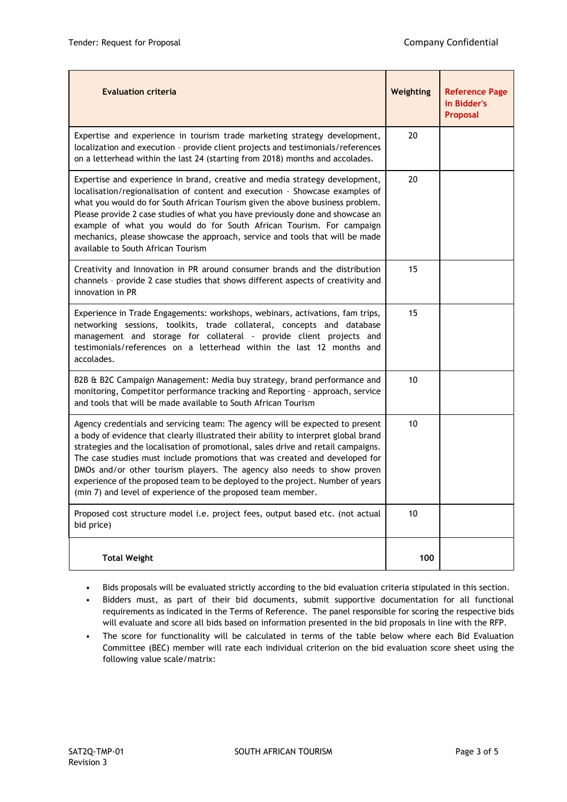| <b>Evaluation criteria</b>                                                                                                                                                                                                                                                                                                                                                                                                                                                                                                                                            | Weighting | <b>Reference Page</b><br>in Bidder's<br>Proposal |
|-----------------------------------------------------------------------------------------------------------------------------------------------------------------------------------------------------------------------------------------------------------------------------------------------------------------------------------------------------------------------------------------------------------------------------------------------------------------------------------------------------------------------------------------------------------------------|-----------|--------------------------------------------------|
| Expertise and experience in tourism trade marketing strategy development,<br>localization and execution - provide client projects and testimonials/references<br>on a letterhead within the last 24 (starting from 2018) months and accolades.                                                                                                                                                                                                                                                                                                                        | 20        |                                                  |
| Expertise and experience in brand, creative and media strategy development,<br>localisation/regionalisation of content and execution - Showcase examples of<br>what you would do for South African Tourism given the above business problem.<br>Please provide 2 case studies of what you have previously done and showcase an<br>example of what you would do for South African Tourism. For campaign<br>mechanics, please showcase the approach, service and tools that will be made<br>available to South African Tourism                                          | 20        |                                                  |
| Creativity and Innovation in PR around consumer brands and the distribution<br>channels - provide 2 case studies that shows different aspects of creativity and<br>innovation in PR                                                                                                                                                                                                                                                                                                                                                                                   | 15        |                                                  |
| Experience in Trade Engagements: workshops, webinars, activations, fam trips,<br>networking sessions, toolkits, trade collateral, concepts and database<br>management and storage for collateral - provide client projects and<br>testimonials/references on a letterhead within the last 12 months and<br>accolades.                                                                                                                                                                                                                                                 | 15        |                                                  |
| B2B & B2C Campaign Management: Media buy strategy, brand performance and<br>monitoring, Competitor performance tracking and Reporting - approach, service<br>and tools that will be made available to South African Tourism                                                                                                                                                                                                                                                                                                                                           | 10        |                                                  |
| Agency credentials and servicing team: The agency will be expected to present<br>a body of evidence that clearly illustrated their ability to interpret global brand<br>strategies and the localisation of promotional, sales drive and retail campaigns.<br>The case studies must include promotions that was created and developed for<br>DMOs and/or other tourism players. The agency also needs to show proven<br>experience of the proposed team to be deployed to the project. Number of years<br>(min 7) and level of experience of the proposed team member. | 10        |                                                  |
| Proposed cost structure model i.e. project fees, output based etc. (not actual<br>bid price)                                                                                                                                                                                                                                                                                                                                                                                                                                                                          | 10        |                                                  |
| <b>Total Weight</b>                                                                                                                                                                                                                                                                                                                                                                                                                                                                                                                                                   | 100       |                                                  |

- Bids proposals will be evaluated strictly according to the bid evaluation criteria stipulated in this section.
- Bidders must, as part of their bid documents, submit supportive documentation for all functional requirements as indicated in the Terms of Reference. The panel responsible for scoring the respective bids will evaluate and score all bids based on information presented in the bid proposals in line with the RFP.
- The score for functionality will be calculated in terms of the table below where each Bid Evaluation Committee (BEC) member will rate each individual criterion on the bid evaluation score sheet using the following value scale/matrix: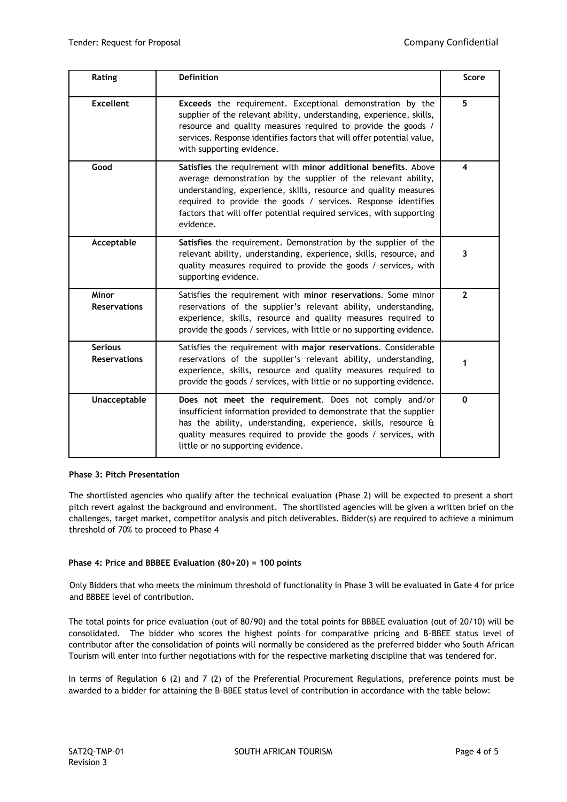| Rating                                | <b>Definition</b>                                                                                                                                                                                                                                                                                                                                           | Score                   |
|---------------------------------------|-------------------------------------------------------------------------------------------------------------------------------------------------------------------------------------------------------------------------------------------------------------------------------------------------------------------------------------------------------------|-------------------------|
| <b>Excellent</b>                      | Exceeds the requirement. Exceptional demonstration by the<br>supplier of the relevant ability, understanding, experience, skills,<br>resource and quality measures required to provide the goods /<br>services. Response identifies factors that will offer potential value,<br>with supporting evidence.                                                   | 5                       |
| Good                                  | Satisfies the requirement with minor additional benefits. Above<br>average demonstration by the supplier of the relevant ability,<br>understanding, experience, skills, resource and quality measures<br>required to provide the goods / services. Response identifies<br>factors that will offer potential required services, with supporting<br>evidence. | $\overline{\mathbf{4}}$ |
| Acceptable                            | Satisfies the requirement. Demonstration by the supplier of the<br>relevant ability, understanding, experience, skills, resource, and<br>quality measures required to provide the goods / services, with<br>supporting evidence.                                                                                                                            | 3                       |
| Minor<br><b>Reservations</b>          | Satisfies the requirement with minor reservations. Some minor<br>reservations of the supplier's relevant ability, understanding,<br>experience, skills, resource and quality measures required to<br>provide the goods / services, with little or no supporting evidence.                                                                                   | $\overline{2}$          |
| <b>Serious</b><br><b>Reservations</b> | Satisfies the requirement with major reservations. Considerable<br>reservations of the supplier's relevant ability, understanding,<br>experience, skills, resource and quality measures required to<br>provide the goods / services, with little or no supporting evidence.                                                                                 | 1                       |
| Unacceptable                          | Does not meet the requirement. Does not comply and/or<br>insufficient information provided to demonstrate that the supplier<br>has the ability, understanding, experience, skills, resource &<br>quality measures required to provide the goods / services, with<br>little or no supporting evidence.                                                       | $\Omega$                |

#### **Phase 3: Pitch Presentation**

The shortlisted agencies who qualify after the technical evaluation (Phase 2) will be expected to present a short pitch revert against the background and environment. The shortlisted agencies will be given a written brief on the challenges, target market, competitor analysis and pitch deliverables. Bidder(s) are required to achieve a minimum threshold of 70% to proceed to Phase 4

## **Phase 4: Price and BBBEE Evaluation (80+20) = 100 points**

Only Bidders that who meets the minimum threshold of functionality in Phase 3 will be evaluated in Gate 4 for price and BBBEE level of contribution.

The total points for price evaluation (out of 80/90) and the total points for BBBEE evaluation (out of 20/10) will be consolidated. The bidder who scores the highest points for comparative pricing and B-BBEE status level of contributor after the consolidation of points will normally be considered as the preferred bidder who South African Tourism will enter into further negotiations with for the respective marketing discipline that was tendered for.

In terms of Regulation 6 (2) and 7 (2) of the Preferential Procurement Regulations, preference points must be awarded to a bidder for attaining the B-BBEE status level of contribution in accordance with the table below: